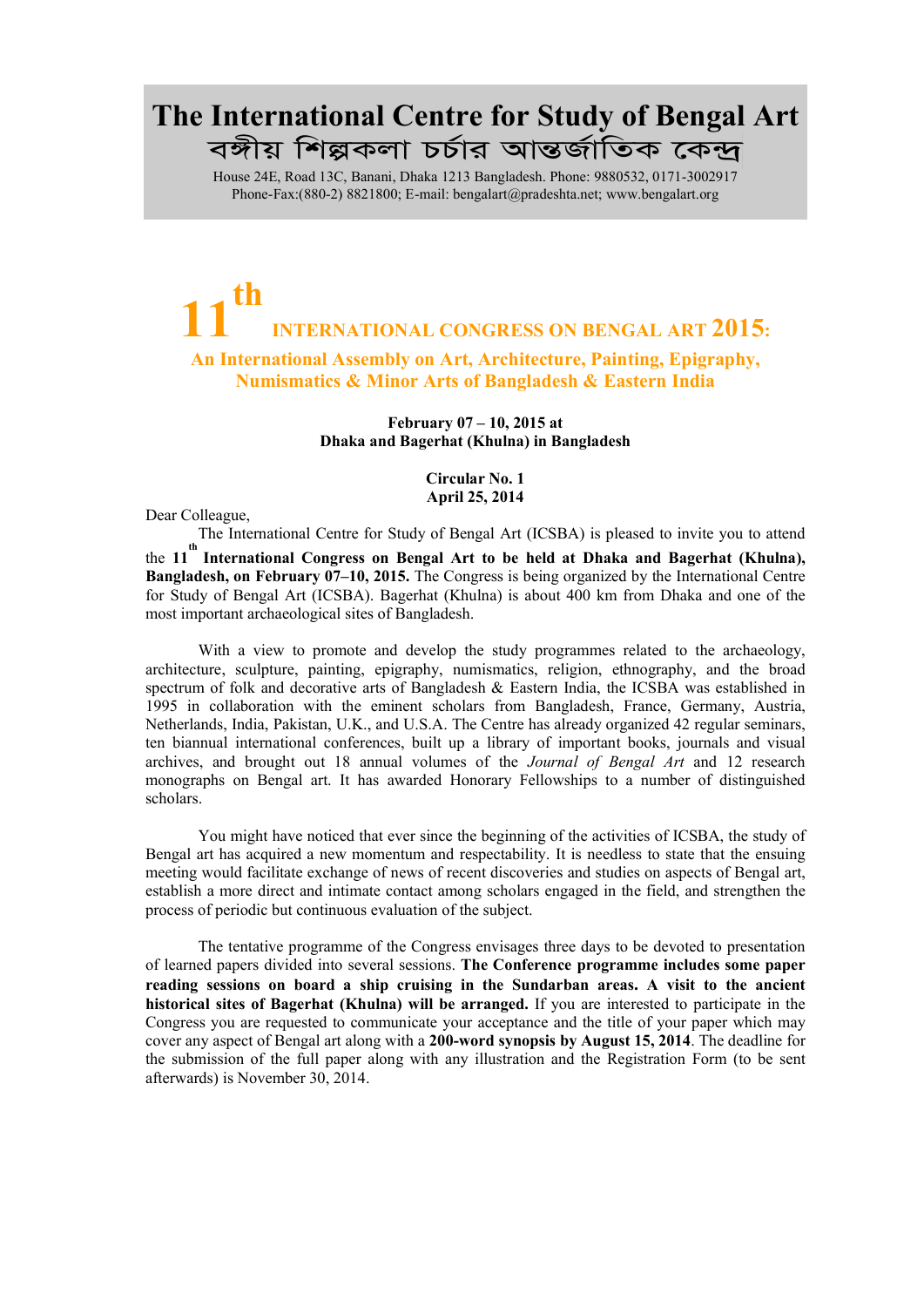## The International Centre for Study of Bengal Art বঙ্গীয় শিল্পকলা চৰ্চার আন্তর্জাতিক কেন্দ্র

House 24E, Road 13C, Banani, Dhaka 1213 Bangladesh. Phone: 9880532, 0171-3002917 Phone-Fax:(880-2) 8821800; E-ma[il: bengalart@pradeshta.net;](mailto:bengalart@pradeshta.net) [www.bengalart.org](http://www.bengalart.org/)

## 11 th INTERNATIONAL CONGRESS ON BENGAL ART 2015: An International Assembly on Art, Architecture, Painting, Epigraphy, Numismatics & Minor Arts of Bangladesh & Eastern India

February 07 – 10, 2015 at Dhaka and Bagerhat (Khulna) in Bangladesh

> Circular No. 1 April 25, 2014

Dear Colleague,

The International Centre for Study of Bengal Art (ICSBA) is pleased to invite you to attend the 11<sup>th</sup> International Congress on Bengal Art to be held at Dhaka and Bagerhat (Khulna), **Bangladesh, on February 07–10, 2015.** The Congress is being organized by the International Centre for Study of Bengal Art (ICSBA). Bagerhat (Khulna) is about 400 km from Dhaka and one of the most important archaeological sites of Bangladesh.

With a view to promote and develop the study programmes related to the archaeology, architecture, sculpture, painting, epigraphy, numismatics, religion, ethnography, and the broad spectrum of folk and decorative arts of Bangladesh & Eastern India, the ICSBA was established in 1995 in collaboration with the eminent scholars from Bangladesh, France, Germany, Austria, Netherlands, India, Pakistan, U.K., and U.S.A. The Centre has already organized 42 regular seminars, ten biannual international conferences, built up a library of important books, journals and visual archives, and brought out 18 annual volumes of the *Journal of Bengal Art* and 12 research monographs on Bengal art. It has awarded Honorary Fellowships to a number of distinguished scholars.

You might have noticed that ever since the beginning of the activities of ICSBA, the study of Bengal art has acquired a new momentum and respectability. It is needless to state that the ensuing meeting would facilitate exchange of news of recent discoveries and studies on aspects of Bengal art, establish a more direct and intimate contact among scholars engaged in the field, and strengthen the process of periodic but continuous evaluation of the subject.

The tentative programme of the Congress envisages three days to be devoted to presentation of learned papers divided into several sessions. The Conference programme includes some paper reading sessions on board a ship cruising in the Sundarban areas. A visit to the ancient historical sites of Bagerhat (Khulna) will be arranged. If you are interested to participate in the Congress you are requested to communicate your acceptance and the title of your paper which may cover any aspect of Bengal art along with a 200-word synopsis by August 15, 2014. The deadline for the submission of the full paper along with any illustration and the Registration Form (to be sent afterwards) is November 30, 2014.